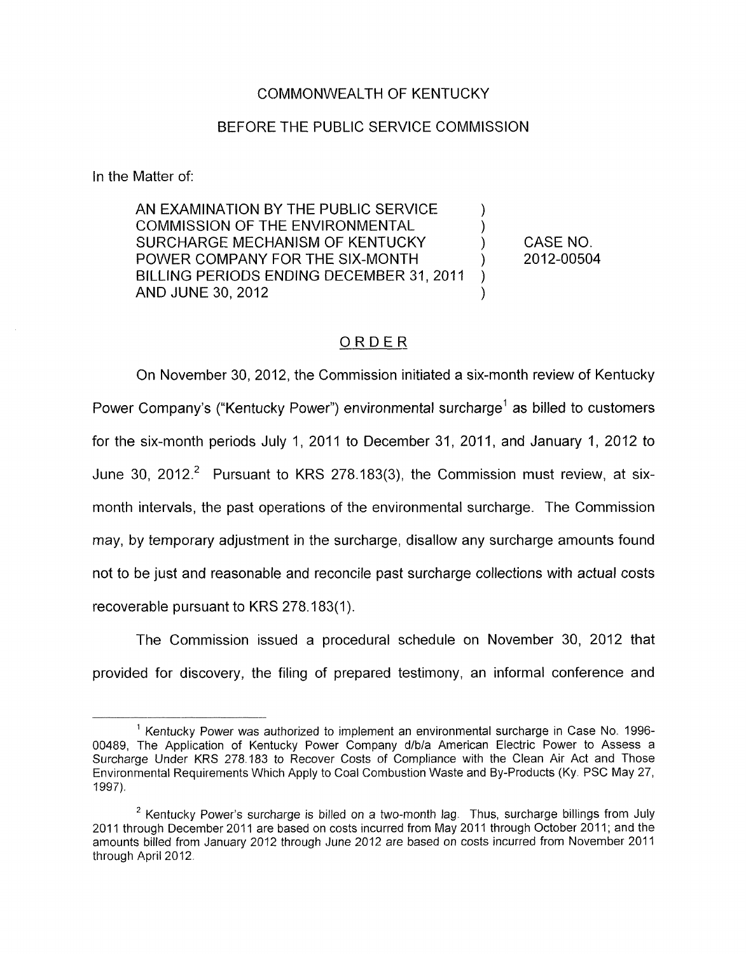### COMMONWEALTH OF KENTUCKY

## BEFORE THE PUBLIC SERVICE COMMISSION

In the Matter of:

AN EXAMINATION BY THE PUBLIC SERVICE<br>COMMISSION OF THE ENVIRONMENTAL SURCHARGE MECHANISM OF KENTUCKY ) CASE NO. BILLING PERIODS ENDING DECEMBER 31, 2011 POWER COMPANY FOR THE SIX-MONTH  $\qquad \qquad$  2012-00504  $\sum_{i=1}^{n}$ AND JUNE 30, 2012

# ORDER

On November 30, 2012, the Commission initiated a six-month review of Kentucky Power Company's ("Kentucky Power") environmental surcharge' as billed to customers for the six-month periods July 1, 2011 to December 31, 2011, and January 1, 2012 to June 30, 2012.<sup>2</sup> Pursuant to KRS 278.183(3), the Commission must review, at sixmonth intervals, the past operations of the environmental surcharge. The Commission may, by temporary adjustment in the surcharge, disallow any surcharge amounts found not to be just and reasonable and reconcile past surcharge collections with actual costs recoverable pursuant to KRS 278.183(1).

The Commission issued a procedural schedule on November 30, 2012 that provided for discovery, the filing of prepared testimony, an informal conference and

<sup>&</sup>lt;sup>1</sup> Kentucky Power was authorized to implement an environmental surcharge in Case No. 1996-00489, The Application of Kentucky Power Company d/b/a American Electric Power to Assess a Surcharge Under KRS 278.183 to Recover Costs of Compliance with the Clean Air Act and Those Environmental Requirements Which Apply to Coal Combustion Waste and By-Products (Ky PSC May 27, 1997).

<sup>&</sup>lt;sup>2</sup> Kentucky Power's surcharge is billed on a two-month lag. Thus, surcharge billings from July 2011 through December 2011 are based on costs incurred from May 2011 through October 2011; and the amounts billed from January 2012 through June 2012 are based on costs incurred from November 2011 through April 2012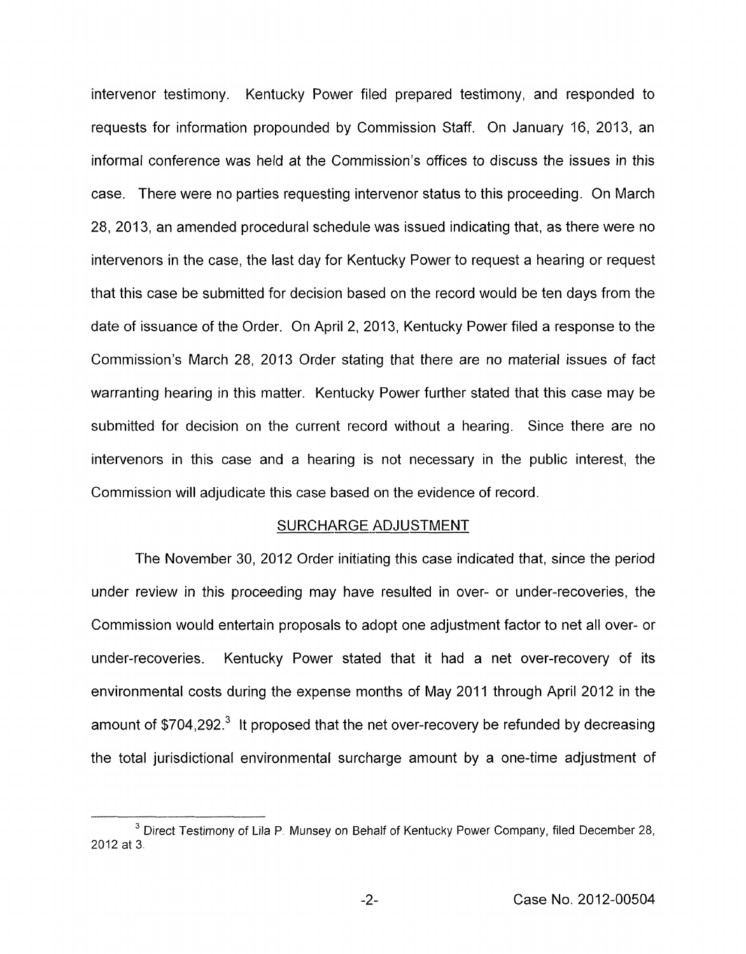intervenor testimony. Kentucky Power filed prepared testimony, and responded to requests for information propounded by Commission Staff. On January 16, 2013, an informal conference was held at the Commission's offices to discuss the issues in this case. There were no parties requesting intervenor status to this proceeding. On March 28, 2013, an amended procedural schedule was issued indicating that, as there were no intervenors in the case, the last day for Kentucky Power to request a hearing or request that this case be submitted for decision based on the record would be ten days from the date of issuance of the Order. On April 2, 2013, Kentucky Power filed a response to the Commission's March 28, 2013 Order stating that there are no material issues of fact warranting hearing in this matter. Kentucky Power further stated that this case may be submitted for decision on the current record without a hearing. Since there are no intervenors in this case and a hearing is not necessary in the public interest, the Commission will adjudicate this case based on the evidence of record.

#### SURCHARGE ADJUSTMENT

The November 30, 2012 Order initiating this case indicated that, since the period under review in this proceeding may have resulted in over- or under-recoveries, the Commission would entertain proposals to adopt one adjustment factor to net all over- or under-recoveries. Kentucky Power stated that it had a net over-recovery of its environmental costs during the expense months of May 2011 through April 2012 in the amount of  $$704,292.<sup>3</sup>$  It proposed that the net over-recovery be refunded by decreasing the total jurisdictional environmental surcharge amount by a one-time adjustment of

<sup>&</sup>lt;sup>3</sup> Direct Testimony of Lila P. Munsey on Behalf of Kentucky Power Company, filed December 28, 2012 at 3.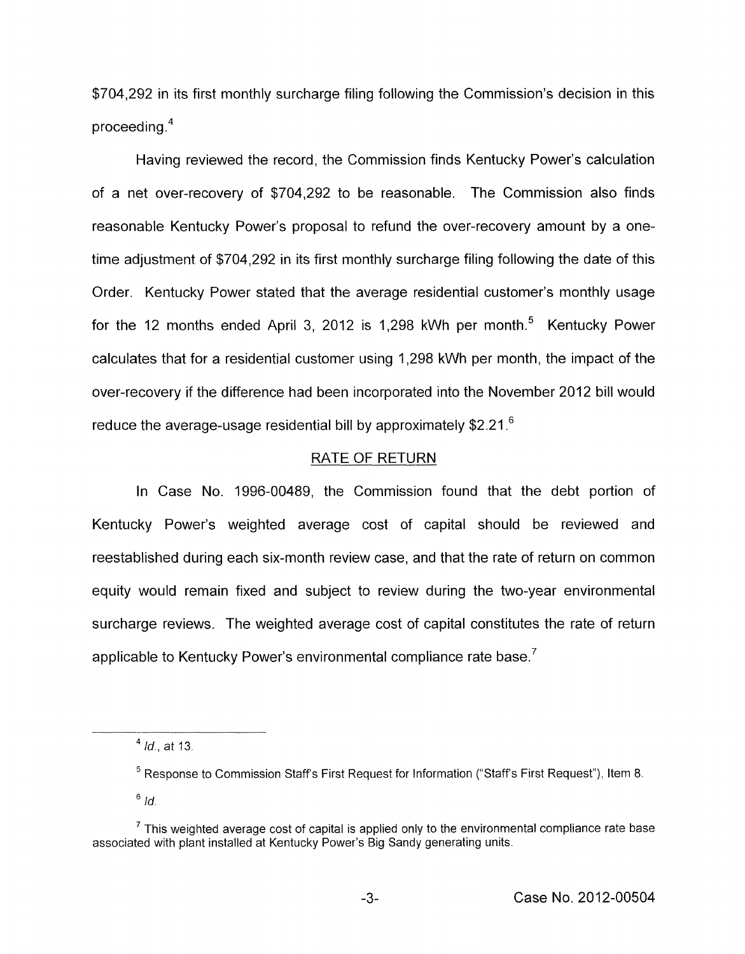\$704,292 in its first monthly surcharge filing following the Commission's decision in this proceeding **.4** 

Having reviewed the record , the Commission finds Kentucky Power's calculation of a net over-recovery of \$704,292 to be reasonable. The Commission also finds reasonable Kentucky Power's proposal to refund the over-recovery amount by a onetime adjustment of \$704,292 in its first monthly surcharge filing following the date of this Order. Kentucky Power stated that the average residential customer's monthly usage for the 12 months ended April 3, 2012 is 1,298 kWh per month. $5$  Kentucky Power calculates that for a residential customer using 1,298 kWh per month, the impact of the over-recovery if the difference had been incorporated into the November 2012 bill would reduce the average-usage residential bill by approximately \$2.21.<sup>6</sup>

## RATE OF RETURN

In Case No. 1996-00489, the Commission found that the debt portion of Kentucky Power's weighted average cost of capital should be reviewed and reestablished during each six-month review case, and that the rate of return on common equity would remain fixed and subject to review during the two-year environmental surcharge reviews. The weighted average cost of capital constitutes the rate of return applicable to Kentucky Power's environmental compliance rate base.<sup>7</sup>

*Id.,* at 13. **<sup>4</sup>**

<sup>&</sup>lt;sup>5</sup> Response to Commission Staff's First Request for Information ("Staff's First Request"), Item 8.  $6/d.$ 

 $<sup>7</sup>$  This weighted average cost of capital is applied only to the environmental compliance rate base</sup> associated with plant installed at Kentucky Power's Big Sandy generating units.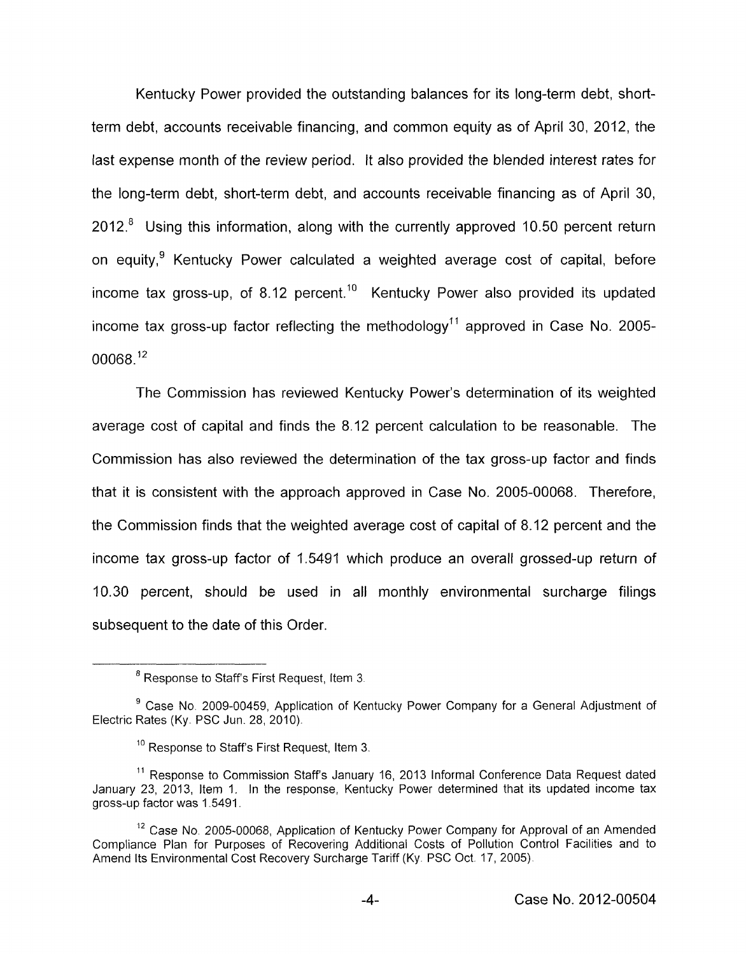Kentucky Power provided the outstanding balances for its long-term debt, shortterm debt, accounts receivable financing, and common equity as of April 30, 2012, the last expense month of the review period. It also provided the blended interest rates for the long-term debt, short-term debt, and accounts receivable financing as of April 30,  $2012<sup>8</sup>$  Using this information, along with the currently approved 10.50 percent return on equity.<sup>9</sup> Kentucky Power calculated a weighted average cost of capital, before income tax gross-up, of 8.12 percent.<sup>10</sup> Kentucky Power also provided its updated income tax gross-up factor reflecting the methodology<sup>11</sup> approved in Case No. 2005-00068.12

The Commission has reviewed Kentucky Power's determination of its weighted average cost of capital and finds the 8.12 percent calculation to be reasonable. The Commission has also reviewed the determination of the tax gross-up factor and finds that it is consistent with the approach approved in Case No. 2005-00068. Therefore, the Commission finds that the weighted average cost of capital of 8.12 percent and the income tax gross-up factor of 1.5491 which produce an overall grossed-up return of 10.30 percent, should be used in all monthly environmental surcharge filings subsequent to the date of this Order

 $^8$  Response to Staff's First Request, Item 3.

<sup>&</sup>lt;sup>9</sup> Case No. 2009-00459, Application of Kentucky Power Company for a General Adjustment of Electric Rates (Ky. PSC Jun. 28, 2010).

 $10$  Response to Staff's First Request, Item 3.

<sup>&</sup>lt;sup>11</sup> Response to Commission Staff's January 16, 2013 Informal Conference Data Request dated January 23, 2013, Item 1. In the response, Kentucky Power determined that its updated income tax gross-up factor was 1 5491

<sup>&</sup>lt;sup>12</sup> Case No. 2005-00068, Application of Kentucky Power Company for Approval of an Amended Compliance Plan for Purposes of Recovering Additional Costs of Pollution Control Facilities and to Amend Its Environmental Cost Recovery Surcharge Tariff (Ky. PSC Oct. 17, 2005).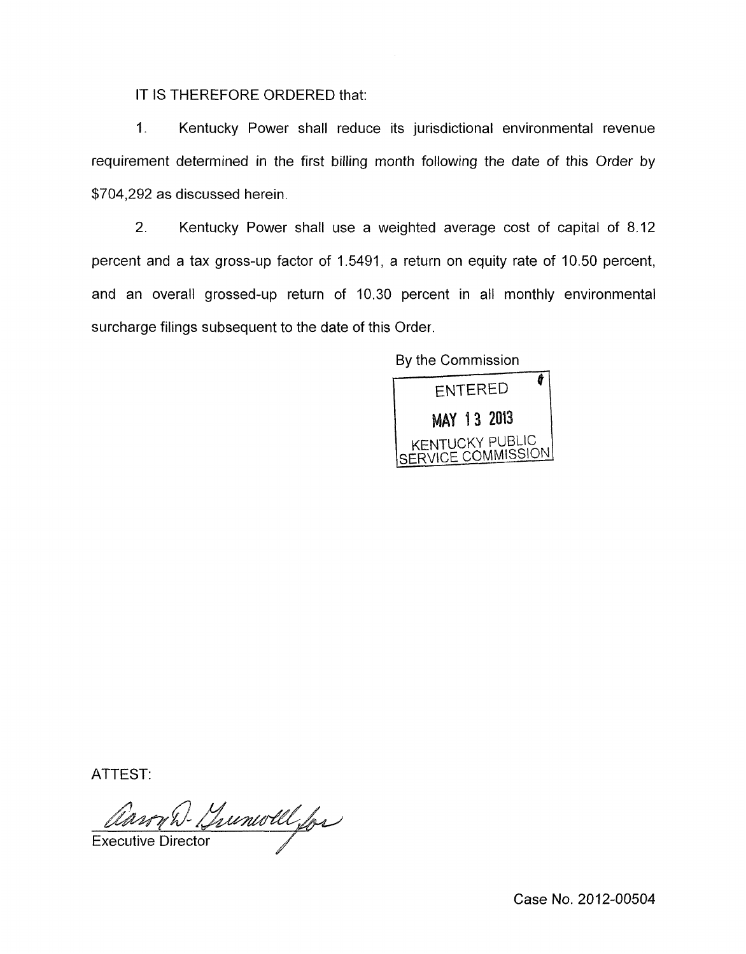IT IS THEREFORE ORDERED that:

1 **I** Kentucky Power shall reduce its jurisdictional environmental revenue requirement determined in the first billing month following the date of this Order by \$704,292 as discussed herein.

2. Kentucky Power shall use a weighted average cost of capital of 8.12 percent and a tax gross-up factor of 1.5491, a return on equity rate of 10.50 percent, and an overall grossed-up return of 10.30 percent in all monthly environmental surcharge filings subsequent to the date of this Order.

By the Commission



ATTEST:

Ansy D. Yunwell for